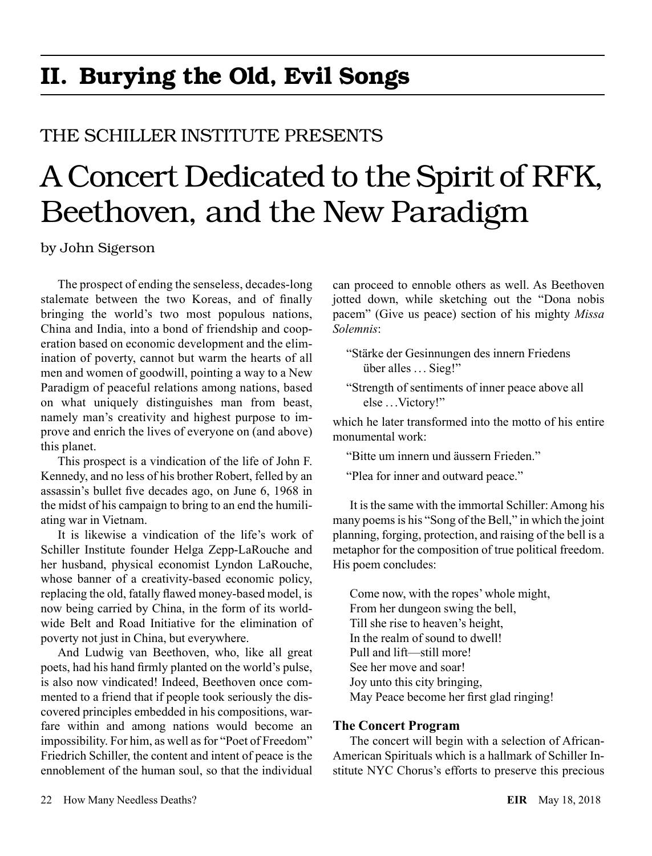## II. Burying the Old, Evil Songs

### THE SCHILLER INSTITUTE PRESENTS

# A Concert Dedicated to the Spirit of RFK, Beethoven, and the New Paradigm

by John Sigerson

The prospect of ending the senseless, decades-long stalemate between the two Koreas, and of finally bringing the world's two most populous nations, China and India, into a bond of friendship and cooperation based on economic development and the elimination of poverty, cannot but warm the hearts of all men and women of goodwill, pointing a way to a New Paradigm of peaceful relations among nations, based on what uniquely distinguishes man from beast, namely man's creativity and highest purpose to improve and enrich the lives of everyone on (and above) this planet.

This prospect is a vindication of the life of John F. Kennedy, and no less of his brother Robert, felled by an assassin's bullet five decades ago, on June 6, 1968 in the midst of his campaign to bring to an end the humiliating war in Vietnam.

It is likewise a vindication of the life's work of Schiller Institute founder Helga Zepp-LaRouche and her husband, physical economist Lyndon LaRouche, whose banner of a creativity-based economic policy, replacing the old, fatally flawed money-based model, is now being carried by China, in the form of its worldwide Belt and Road Initiative for the elimination of poverty not just in China, but everywhere.

And Ludwig van Beethoven, who, like all great poets, had his hand firmly planted on the world's pulse, is also now vindicated! Indeed, Beethoven once commented to a friend that if people took seriously the discovered principles embedded in his compositions, warfare within and among nations would become an impossibility. For him, as well as for "Poet of Freedom" Friedrich Schiller, the content and intent of peace is the ennoblement of the human soul, so that the individual can proceed to ennoble others as well. As Beethoven jotted down, while sketching out the "Dona nobis pacem" (Give us peace) section of his mighty *Missa Solemnis*:

"Stärke der Gesinnungen des innern Friedens über alles ... Sieg!"

"Strength of sentiments of inner peace above all else ... Victory!"

which he later transformed into the motto of his entire monumental work:

"Bitte um innern und äussern Frieden."

"Plea for inner and outward peace."

It is the same with the immortal Schiller: Among his many poems is his "Song of the Bell," in which the joint planning, forging, protection, and raising of the bell is a metaphor for the composition of true political freedom. His poem concludes:

Come now, with the ropes' whole might, From her dungeon swing the bell, Till she rise to heaven's height, In the realm of sound to dwell! Pull and lift—still more! See her move and soar! Joy unto this city bringing, May Peace become her first glad ringing!

#### **The Concert Program**

The concert will begin with a selection of African-American Spirituals which is a hallmark of Schiller Institute NYC Chorus's efforts to preserve this precious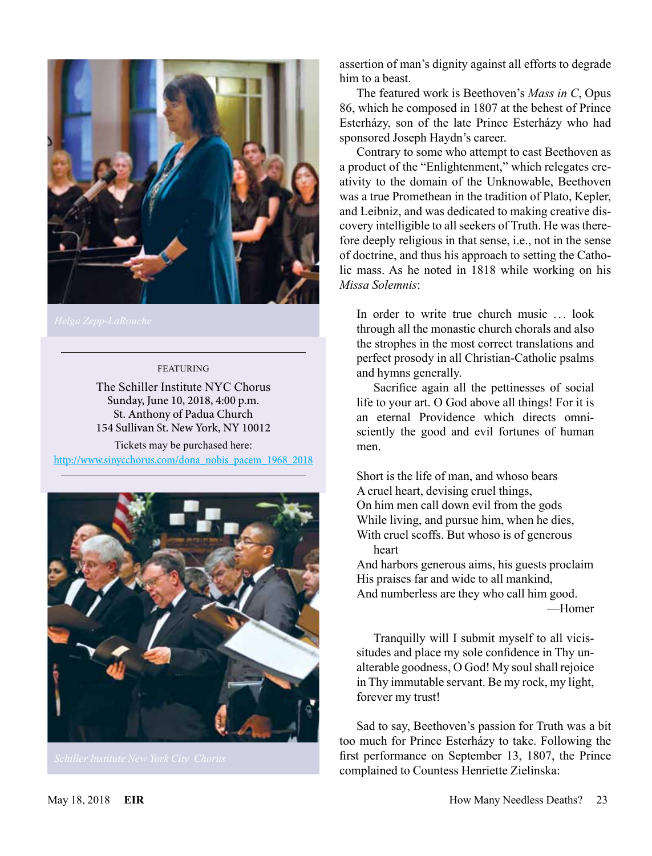

#### FEATURING

The Schiller Institute NYC Chorus Sunday, June 10, 2018, 4:00 p.m. St. Anthony of Padua Church 154 Sullivan St. New York, NY 10012

Tickets may be purchased here: [http://www.sinycchorus.com/dona\\_nobis\\_pacem\\_1968\\_2018](http://www.sinycchorus.com/dona_nobis_pacem_1968_2018)



assertion of man's dignity against all efforts to degrade him to a beast.

The featured work is Beethoven's *Mass in C*, Opus 86, which he composed in 1807 at the behest of Prince Esterházy, son of the late Prince Esterházy who had sponsored Joseph Haydn's career.

Contrary to some who attempt to cast Beethoven as a product of the "Enlightenment," which relegates creativity to the domain of the Unknowable, Beethoven was a true Promethean in the tradition of Plato, Kepler, and Leibniz, and was dedicated to making creative discovery intelligible to all seekers of Truth. He was therefore deeply religious in that sense, i.e., not in the sense of doctrine, and thus his approach to setting the Catholic mass. As he noted in 1818 while working on his *Missa Solemnis*:

In order to write true church music ... look through all the monastic church chorals and also the strophes in the most correct translations and perfect prosody in all Christian-Catholic psalms and hymns generally.

Sacrifice again all the pettinesses of social life to your art. O God above all things! For it is an eternal Providence which directs omnisciently the good and evil fortunes of human men.

Short is the life of man, and whoso bears A cruel heart, devising cruel things, On him men call down evil from the gods While living, and pursue him, when he dies, With cruel scoffs. But whoso is of generous heart

And harbors generous aims, his guests proclaim His praises far and wide to all mankind, And numberless are they who call him good.

—Homer

Tranquilly will I submit myself to all vicissitudes and place my sole confidence in Thy unalterable goodness, O God! My soul shall rejoice in Thy immutable servant. Be my rock, my light, forever my trust!

Sad to say, Beethoven's passion for Truth was a bit too much for Prince Esterházy to take. Following the first performance on September 13, 1807, the Prince complained to Countess Henriette Zielinska: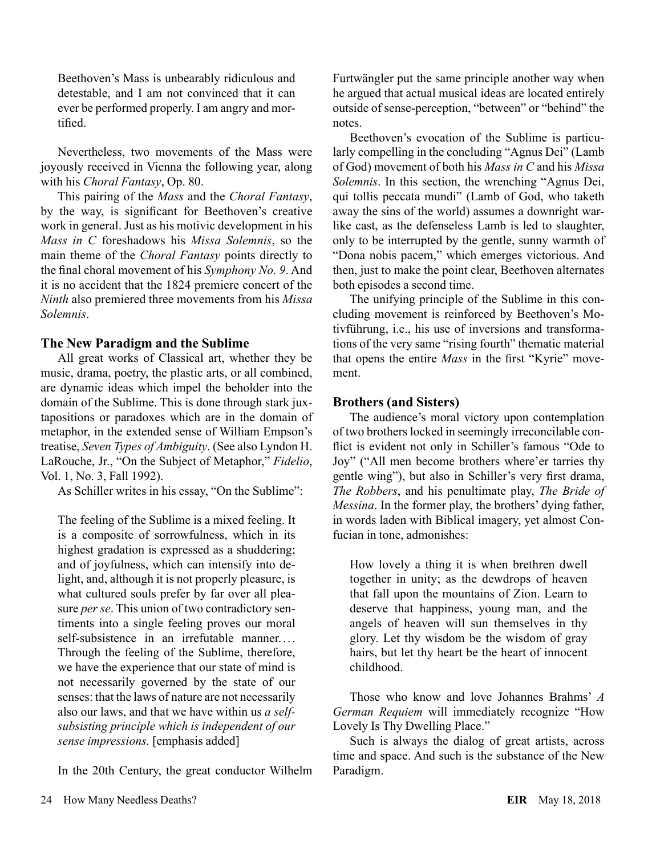Beethoven's Mass is unbearably ridiculous and detestable, and I am not convinced that it can ever be performed properly. I am angry and mortified.

Nevertheless, two movements of the Mass were joyously received in Vienna the following year, along with his *Choral Fantasy*, Op. 80.

This pairing of the *Mass* and the *Choral Fantasy*, by the way, is significant for Beethoven's creative work in general. Just as his motivic development in his *Mass in C* foreshadows his *Missa Solemnis*, so the main theme of the *Choral Fantasy* points directly to the final choral movement of his *Symphony No. 9*. And it is no accident that the 1824 premiere concert of the *Ninth* also premiered three movements from his *Missa Solemnis*.

#### **The New Paradigm and the Sublime**

All great works of Classical art, whether they be music, drama, poetry, the plastic arts, or all combined, are dynamic ideas which impel the beholder into the domain of the Sublime. This is done through stark juxtapositions or paradoxes which are in the domain of metaphor, in the extended sense of William Empson's treatise, *Seven Types of Ambiguity*. (See also Lyndon H. LaRouche, Jr., "On the Subject of Metaphor," *Fidelio*, Vol. 1, No. 3, Fall 1992).

As Schiller writes in his essay, "On the Sublime":

The feeling of the Sublime is a mixed feeling. It is a composite of sorrowfulness, which in its highest gradation is expressed as a shuddering; and of joyfulness, which can intensify into delight, and, although it is not properly pleasure, is what cultured souls prefer by far over all pleasure *per se*. This union of two contradictory sentiments into a single feeling proves our moral self-subsistence in an irrefutable manner.... Through the feeling of the Sublime, therefore, we have the experience that our state of mind is not necessarily governed by the state of our senses: that the laws of nature are not necessarily also our laws, and that we have within us *a selfsubsisting principle which is independent of our sense impressions.* [emphasis added]

In the 20th Century, the great conductor Wilhelm

Furtwängler put the same principle another way when he argued that actual musical ideas are located entirely outside of sense-perception, "between" or "behind" the notes.

Beethoven's evocation of the Sublime is particularly compelling in the concluding "Agnus Dei" (Lamb of God) movement of both his *Mass in C* and his *Missa Solemnis*. In this section, the wrenching "Agnus Dei, qui tollis peccata mundi" (Lamb of God, who taketh away the sins of the world) assumes a downright warlike cast, as the defenseless Lamb is led to slaughter, only to be interrupted by the gentle, sunny warmth of "Dona nobis pacem," which emerges victorious. And then, just to make the point clear, Beethoven alternates both episodes a second time.

The unifying principle of the Sublime in this concluding movement is reinforced by Beethoven's Motivführung, i.e., his use of inversions and transformations of the very same "rising fourth" thematic material that opens the entire *Mass* in the first "Kyrie" movement.

#### **Brothers (and Sisters)**

The audience's moral victory upon contemplation of two brothers locked in seemingly irreconcilable conflict is evident not only in Schiller's famous "Ode to Joy" ("All men become brothers where'er tarries thy gentle wing"), but also in Schiller's very first drama, *The Robbers*, and his penultimate play, *The Bride of Messina*. In the former play, the brothers' dying father, in words laden with Biblical imagery, yet almost Confucian in tone, admonishes:

How lovely a thing it is when brethren dwell together in unity; as the dewdrops of heaven that fall upon the mountains of Zion. Learn to deserve that happiness, young man, and the angels of heaven will sun themselves in thy glory. Let thy wisdom be the wisdom of gray hairs, but let thy heart be the heart of innocent childhood.

Those who know and love Johannes Brahms' *A German Requiem* will immediately recognize "How Lovely Is Thy Dwelling Place."

Such is always the dialog of great artists, across time and space. And such is the substance of the New Paradigm.